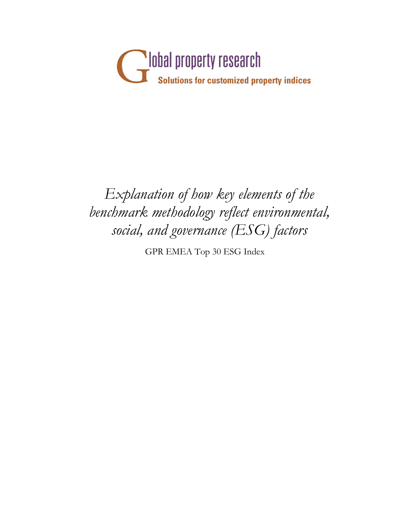

## *Explanation of how key elements of the benchmark methodology reflect environmental, social, and governance (ESG) factors*

GPR EMEA Top 30 ESG Index